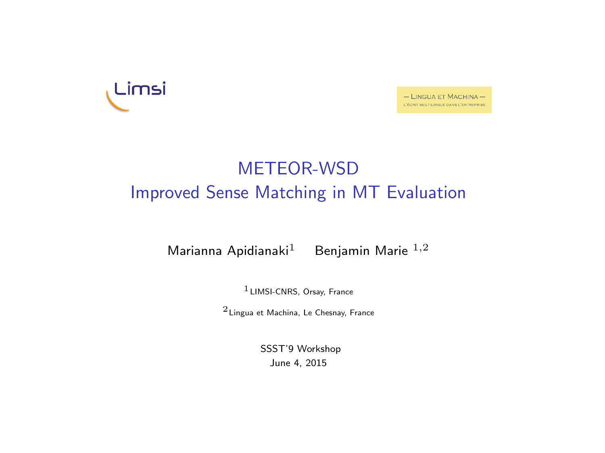# Limsi

 $-$  LINGUA ET MACHINA $-$ L'ÉGRIT MULTILINGUE DANS L'ENTREPRISE

## METEOR-WSD Improved Sense Matching in MT Evaluation

Marianna Apidianaki<sup>1</sup> Benjamin Marie  $1,2$ 

1LIMSI-CNRS, Orsay, France

2Lingua et Machina, Le Chesnay, France

SSST'9 Workshop June 4, 2015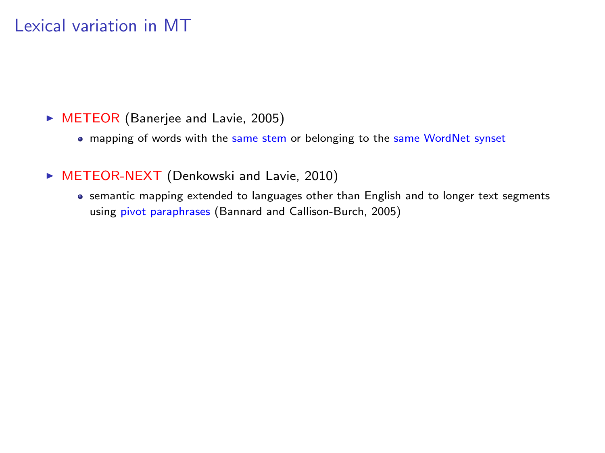### Lexical variation in MT

- ▶ METEOR (Banerjee and Lavie, 2005)
	- mapping of words with the same stem or belonging to the same WordNet synset
- ► METEOR-NEXT (Denkowski and Lavie, 2010)
	- semantic mapping extended to languages other than English and to longer text segments using pivot paraphrases (Bannard and Callison-Burch, 2005)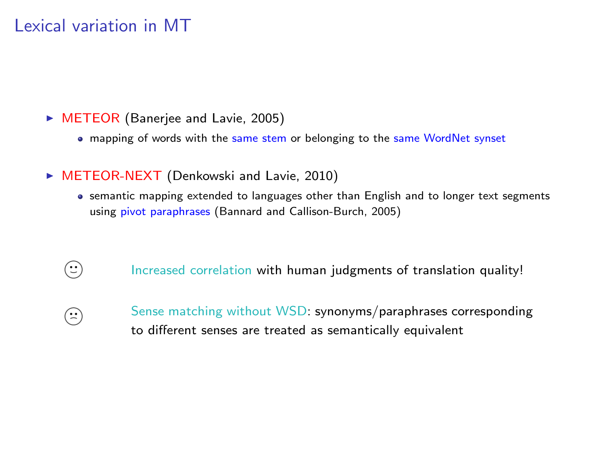### Lexical variation in MT

- ▶ METEOR (Banerjee and Lavie, 2005)
	- mapping of words with the same stem or belonging to the same WordNet synset
- ▶ METEOR-NEXT (Denkowski and Lavie, 2010)
	- **•** semantic mapping extended to languages other than English and to longer text segments using pivot paraphrases (Bannard and Callison-Burch, 2005)
	- $\odot$ Increased correlation with human judgments of translation quality!
	- $\left(\ddot{\cdot}\right)$
- Sense matching without WSD: synonyms/paraphrases corresponding to different senses are treated as semantically equivalent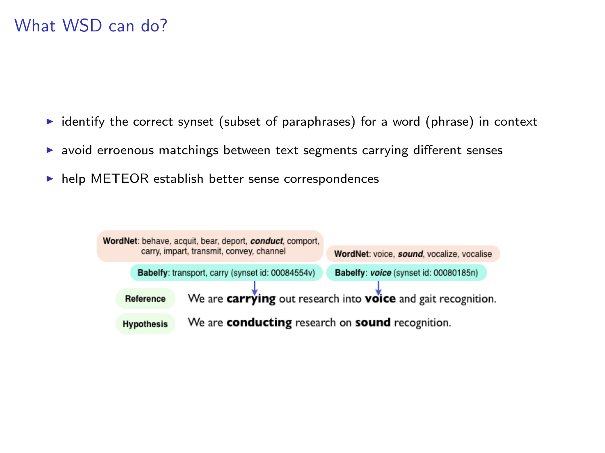#### What WSD can do?

- $\triangleright$  identify the correct synset (subset of paraphrases) for a word (phrase) in context
- $\triangleright$  avoid erroenous matchings between text segments carrying different senses
- $\blacktriangleright$  help METEOR establish better sense correspondences

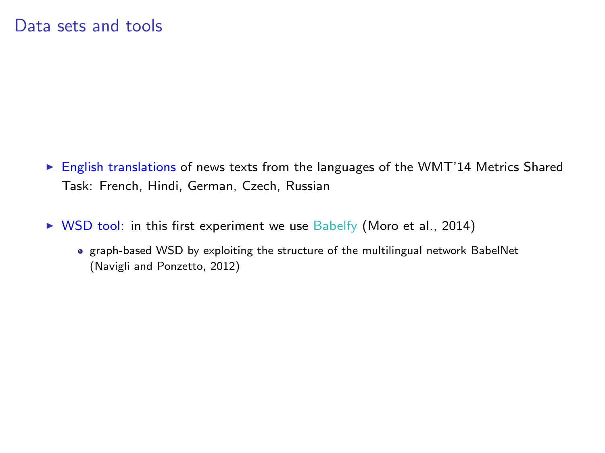- $\triangleright$  English translations of news texts from the languages of the WMT'14 Metrics Shared Task: French, Hindi, German, Czech, Russian
- $\triangleright$  WSD tool: in this first experiment we use Babelfy (Moro et al., 2014)
	- o graph-based WSD by exploiting the structure of the multilingual network BabelNet (Navigli and Ponzetto, 2012)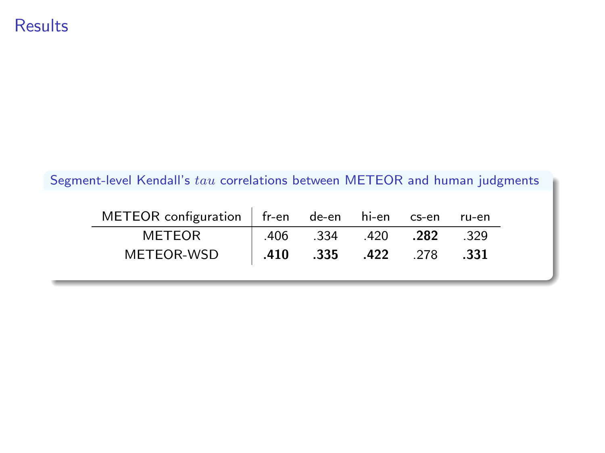#### Segment-level Kendall's tau correlations between METEOR and human judgments

| METEOR configuration   fr-en de-en hi-en cs-en ru-en |                                  |  |  |
|------------------------------------------------------|----------------------------------|--|--|
| METEOR                                               | $\vert$ 406 .334 .420 .282 .329  |  |  |
| METEOR-WSD                                           | $\vert$ .410 .335 .422 .278 .331 |  |  |